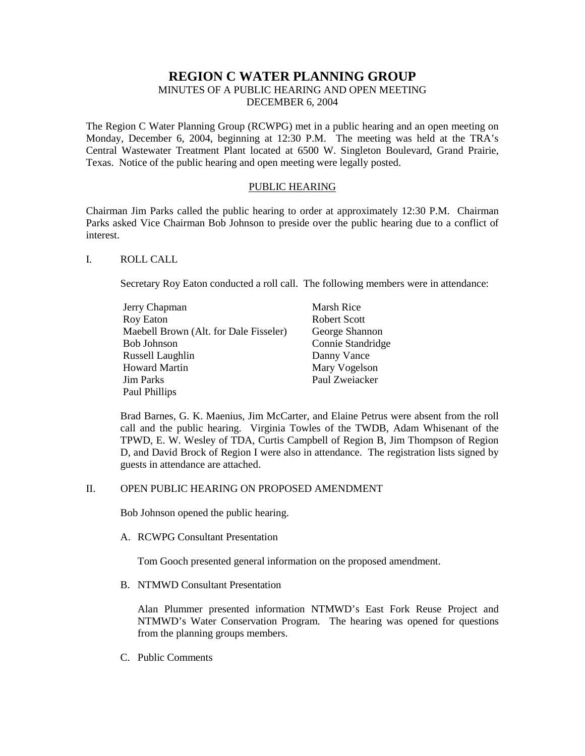# **REGION C WATER PLANNING GROUP**

# MINUTES OF A PUBLIC HEARING AND OPEN MEETING DECEMBER 6, 2004

The Region C Water Planning Group (RCWPG) met in a public hearing and an open meeting on Monday, December 6, 2004, beginning at 12:30 P.M. The meeting was held at the TRA's Central Wastewater Treatment Plant located at 6500 W. Singleton Boulevard, Grand Prairie, Texas. Notice of the public hearing and open meeting were legally posted.

#### PUBLIC HEARING

Chairman Jim Parks called the public hearing to order at approximately 12:30 P.M. Chairman Parks asked Vice Chairman Bob Johnson to preside over the public hearing due to a conflict of interest.

# I. ROLL CALL

Secretary Roy Eaton conducted a roll call. The following members were in attendance:

| Jerry Chapman                          | Marsh Rice          |
|----------------------------------------|---------------------|
| Roy Eaton                              | <b>Robert Scott</b> |
| Maebell Brown (Alt. for Dale Fisseler) | George Shannon      |
| Bob Johnson                            | Connie Standridge   |
| Russell Laughlin                       | Danny Vance         |
| Howard Martin                          | Mary Vogelson       |
| Jim Parks                              | Paul Zweiacker      |
| Paul Phillips                          |                     |

Brad Barnes, G. K. Maenius, Jim McCarter, and Elaine Petrus were absent from the roll call and the public hearing. Virginia Towles of the TWDB, Adam Whisenant of the TPWD, E. W. Wesley of TDA, Curtis Campbell of Region B, Jim Thompson of Region D, and David Brock of Region I were also in attendance. The registration lists signed by guests in attendance are attached.

# II. OPEN PUBLIC HEARING ON PROPOSED AMENDMENT

Bob Johnson opened the public hearing.

A. RCWPG Consultant Presentation

Tom Gooch presented general information on the proposed amendment.

B. NTMWD Consultant Presentation

 Alan Plummer presented information NTMWD's East Fork Reuse Project and NTMWD's Water Conservation Program. The hearing was opened for questions from the planning groups members.

C. Public Comments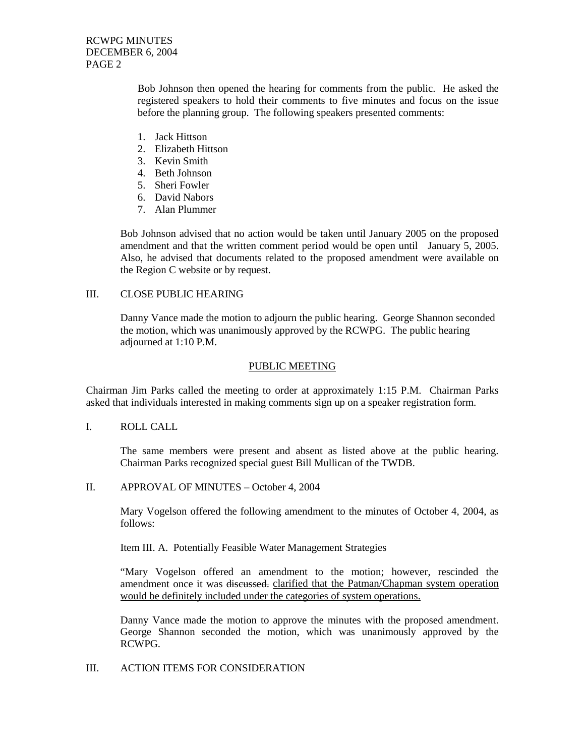RCWPG MINUTES DECEMBER 6, 2004 PAGE 2

> Bob Johnson then opened the hearing for comments from the public. He asked the registered speakers to hold their comments to five minutes and focus on the issue before the planning group. The following speakers presented comments:

- 1. Jack Hittson
- 2. Elizabeth Hittson
- 3. Kevin Smith
- 4. Beth Johnson
- 5. Sheri Fowler
- 6. David Nabors
- 7. Alan Plummer

Bob Johnson advised that no action would be taken until January 2005 on the proposed amendment and that the written comment period would be open until January 5, 2005. Also, he advised that documents related to the proposed amendment were available on the Region C website or by request.

# III. CLOSE PUBLIC HEARING

Danny Vance made the motion to adjourn the public hearing. George Shannon seconded the motion, which was unanimously approved by the RCWPG. The public hearing adjourned at 1:10 P.M.

#### PUBLIC MEETING

Chairman Jim Parks called the meeting to order at approximately 1:15 P.M. Chairman Parks asked that individuals interested in making comments sign up on a speaker registration form.

I. ROLL CALL

The same members were present and absent as listed above at the public hearing. Chairman Parks recognized special guest Bill Mullican of the TWDB.

II. APPROVAL OF MINUTES – October 4, 2004

Mary Vogelson offered the following amendment to the minutes of October 4, 2004, as follows:

Item III. A. Potentially Feasible Water Management Strategies

"Mary Vogelson offered an amendment to the motion; however, rescinded the amendment once it was discussed. clarified that the Patman/Chapman system operation would be definitely included under the categories of system operations.

Danny Vance made the motion to approve the minutes with the proposed amendment. George Shannon seconded the motion, which was unanimously approved by the RCWPG.

# III. ACTION ITEMS FOR CONSIDERATION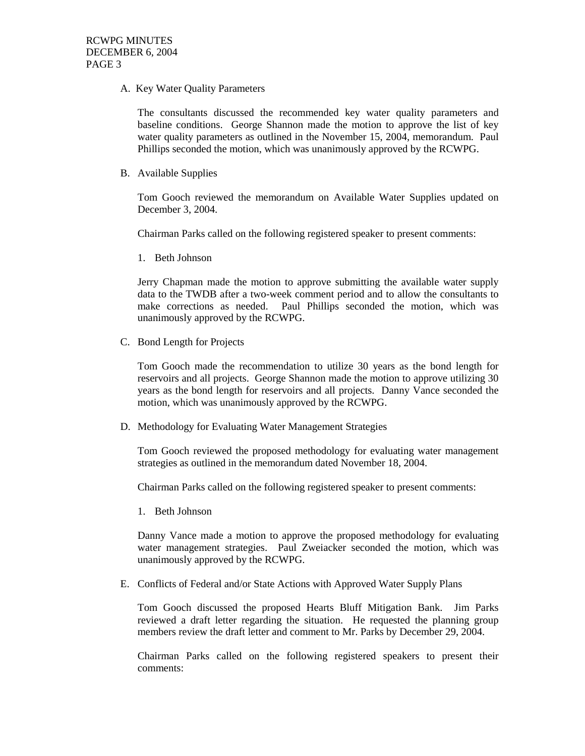A. Key Water Quality Parameters

The consultants discussed the recommended key water quality parameters and baseline conditions. George Shannon made the motion to approve the list of key water quality parameters as outlined in the November 15, 2004, memorandum. Paul Phillips seconded the motion, which was unanimously approved by the RCWPG.

B. Available Supplies

Tom Gooch reviewed the memorandum on Available Water Supplies updated on December 3, 2004.

Chairman Parks called on the following registered speaker to present comments:

1. Beth Johnson

Jerry Chapman made the motion to approve submitting the available water supply data to the TWDB after a two-week comment period and to allow the consultants to make corrections as needed. Paul Phillips seconded the motion, which was unanimously approved by the RCWPG.

C. Bond Length for Projects

Tom Gooch made the recommendation to utilize 30 years as the bond length for reservoirs and all projects. George Shannon made the motion to approve utilizing 30 years as the bond length for reservoirs and all projects. Danny Vance seconded the motion, which was unanimously approved by the RCWPG.

D. Methodology for Evaluating Water Management Strategies

Tom Gooch reviewed the proposed methodology for evaluating water management strategies as outlined in the memorandum dated November 18, 2004.

Chairman Parks called on the following registered speaker to present comments:

1. Beth Johnson

Danny Vance made a motion to approve the proposed methodology for evaluating water management strategies. Paul Zweiacker seconded the motion, which was unanimously approved by the RCWPG.

E. Conflicts of Federal and/or State Actions with Approved Water Supply Plans

Tom Gooch discussed the proposed Hearts Bluff Mitigation Bank. Jim Parks reviewed a draft letter regarding the situation. He requested the planning group members review the draft letter and comment to Mr. Parks by December 29, 2004.

Chairman Parks called on the following registered speakers to present their comments: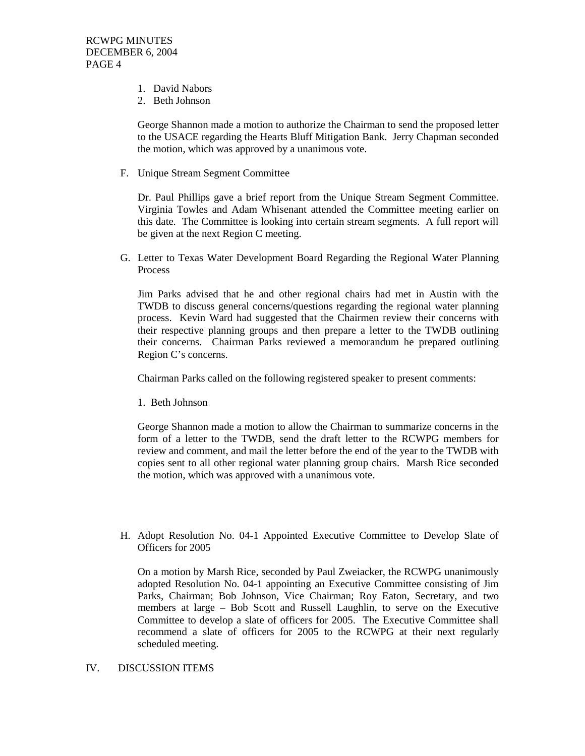- 1. David Nabors
- 2. Beth Johnson

George Shannon made a motion to authorize the Chairman to send the proposed letter to the USACE regarding the Hearts Bluff Mitigation Bank. Jerry Chapman seconded the motion, which was approved by a unanimous vote.

F. Unique Stream Segment Committee

Dr. Paul Phillips gave a brief report from the Unique Stream Segment Committee. Virginia Towles and Adam Whisenant attended the Committee meeting earlier on this date. The Committee is looking into certain stream segments. A full report will be given at the next Region C meeting.

G. Letter to Texas Water Development Board Regarding the Regional Water Planning Process

Jim Parks advised that he and other regional chairs had met in Austin with the TWDB to discuss general concerns/questions regarding the regional water planning process. Kevin Ward had suggested that the Chairmen review their concerns with their respective planning groups and then prepare a letter to the TWDB outlining their concerns. Chairman Parks reviewed a memorandum he prepared outlining Region C's concerns.

Chairman Parks called on the following registered speaker to present comments:

1. Beth Johnson

George Shannon made a motion to allow the Chairman to summarize concerns in the form of a letter to the TWDB, send the draft letter to the RCWPG members for review and comment, and mail the letter before the end of the year to the TWDB with copies sent to all other regional water planning group chairs. Marsh Rice seconded the motion, which was approved with a unanimous vote.

H. Adopt Resolution No. 04-1 Appointed Executive Committee to Develop Slate of Officers for 2005

On a motion by Marsh Rice, seconded by Paul Zweiacker, the RCWPG unanimously adopted Resolution No. 04-1 appointing an Executive Committee consisting of Jim Parks, Chairman; Bob Johnson, Vice Chairman; Roy Eaton, Secretary, and two members at large – Bob Scott and Russell Laughlin, to serve on the Executive Committee to develop a slate of officers for 2005. The Executive Committee shall recommend a slate of officers for 2005 to the RCWPG at their next regularly scheduled meeting.

#### IV. DISCUSSION ITEMS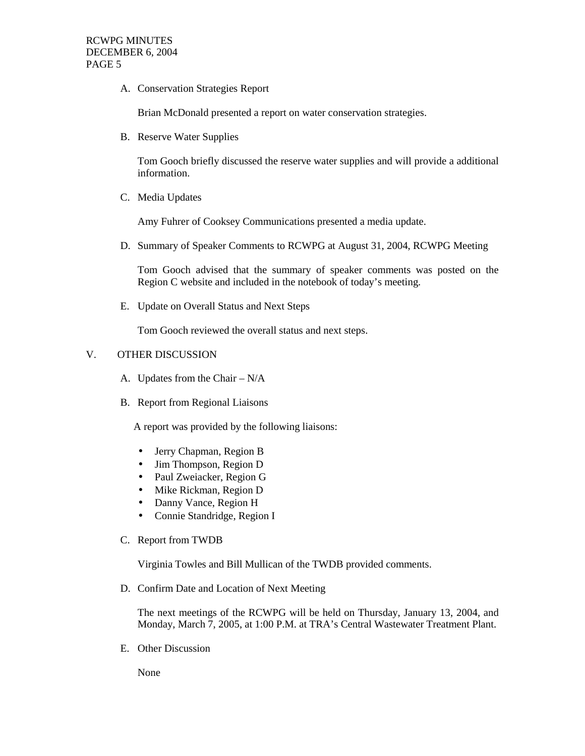A. Conservation Strategies Report

Brian McDonald presented a report on water conservation strategies.

B. Reserve Water Supplies

Tom Gooch briefly discussed the reserve water supplies and will provide a additional information.

C. Media Updates

Amy Fuhrer of Cooksey Communications presented a media update.

D. Summary of Speaker Comments to RCWPG at August 31, 2004, RCWPG Meeting

Tom Gooch advised that the summary of speaker comments was posted on the Region C website and included in the notebook of today's meeting.

E. Update on Overall Status and Next Steps

Tom Gooch reviewed the overall status and next steps.

# V. OTHER DISCUSSION

- A. Updates from the Chair N/A
- B. Report from Regional Liaisons

A report was provided by the following liaisons:

- Jerry Chapman, Region B
- Jim Thompson, Region D
- Paul Zweiacker, Region G
- Mike Rickman, Region D
- Danny Vance, Region H
- Connie Standridge, Region I
- C. Report from TWDB

Virginia Towles and Bill Mullican of the TWDB provided comments.

D. Confirm Date and Location of Next Meeting

The next meetings of the RCWPG will be held on Thursday, January 13, 2004, and Monday, March 7, 2005, at 1:00 P.M. at TRA's Central Wastewater Treatment Plant.

E. Other Discussion

None